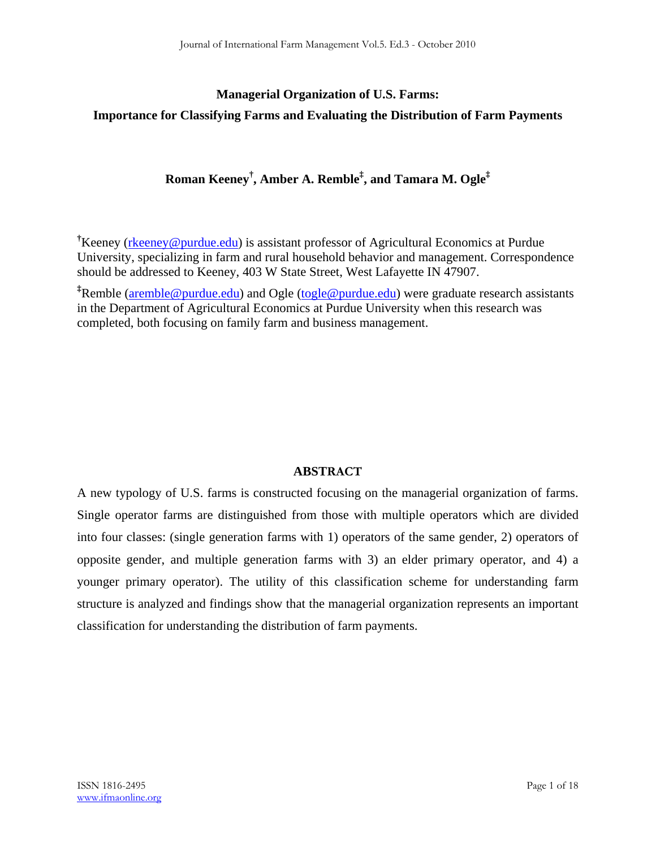## **Managerial Organization of U.S. Farms: Importance for Classifying Farms and Evaluating the Distribution of Farm Payments**

## **Roman Keeney† , Amber A. Remble‡ , and Tamara M. Ogle‡**

<sup>†</sup>Keeney (rheeney@purdue.edu) is assistant professor of Agricultural Economics at Purdue University, specializing in farm and rural household behavior and management. Correspondence should be addressed to Keeney, 403 W State Street, West Lafayette IN 47907.

**‡** Remble (aremble@purdue.edu) and Ogle (togle@purdue.edu) were graduate research assistants in the Department of Agricultural Economics at Purdue University when this research was completed, both focusing on family farm and business management.

## **ABSTRACT**

A new typology of U.S. farms is constructed focusing on the managerial organization of farms. Single operator farms are distinguished from those with multiple operators which are divided into four classes: (single generation farms with 1) operators of the same gender, 2) operators of opposite gender, and multiple generation farms with 3) an elder primary operator, and 4) a younger primary operator). The utility of this classification scheme for understanding farm structure is analyzed and findings show that the managerial organization represents an important classification for understanding the distribution of farm payments.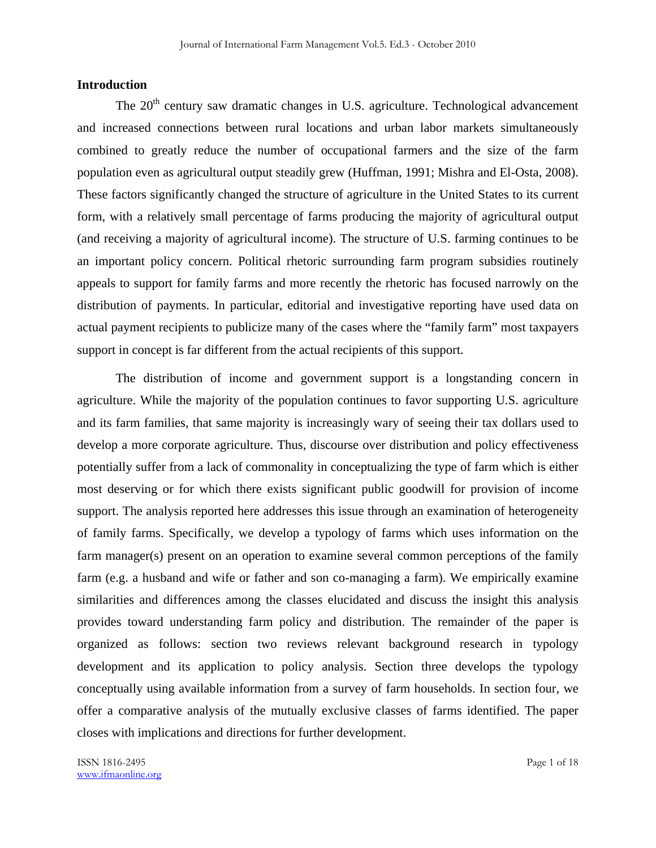#### **Introduction**

The  $20<sup>th</sup>$  century saw dramatic changes in U.S. agriculture. Technological advancement and increased connections between rural locations and urban labor markets simultaneously combined to greatly reduce the number of occupational farmers and the size of the farm population even as agricultural output steadily grew (Huffman, 1991; Mishra and El-Osta, 2008). These factors significantly changed the structure of agriculture in the United States to its current form, with a relatively small percentage of farms producing the majority of agricultural output (and receiving a majority of agricultural income). The structure of U.S. farming continues to be an important policy concern. Political rhetoric surrounding farm program subsidies routinely appeals to support for family farms and more recently the rhetoric has focused narrowly on the distribution of payments. In particular, editorial and investigative reporting have used data on actual payment recipients to publicize many of the cases where the "family farm" most taxpayers support in concept is far different from the actual recipients of this support.

 The distribution of income and government support is a longstanding concern in agriculture. While the majority of the population continues to favor supporting U.S. agriculture and its farm families, that same majority is increasingly wary of seeing their tax dollars used to develop a more corporate agriculture. Thus, discourse over distribution and policy effectiveness potentially suffer from a lack of commonality in conceptualizing the type of farm which is either most deserving or for which there exists significant public goodwill for provision of income support. The analysis reported here addresses this issue through an examination of heterogeneity of family farms. Specifically, we develop a typology of farms which uses information on the farm manager(s) present on an operation to examine several common perceptions of the family farm (e.g. a husband and wife or father and son co-managing a farm). We empirically examine similarities and differences among the classes elucidated and discuss the insight this analysis provides toward understanding farm policy and distribution. The remainder of the paper is organized as follows: section two reviews relevant background research in typology development and its application to policy analysis. Section three develops the typology conceptually using available information from a survey of farm households. In section four, we offer a comparative analysis of the mutually exclusive classes of farms identified. The paper closes with implications and directions for further development.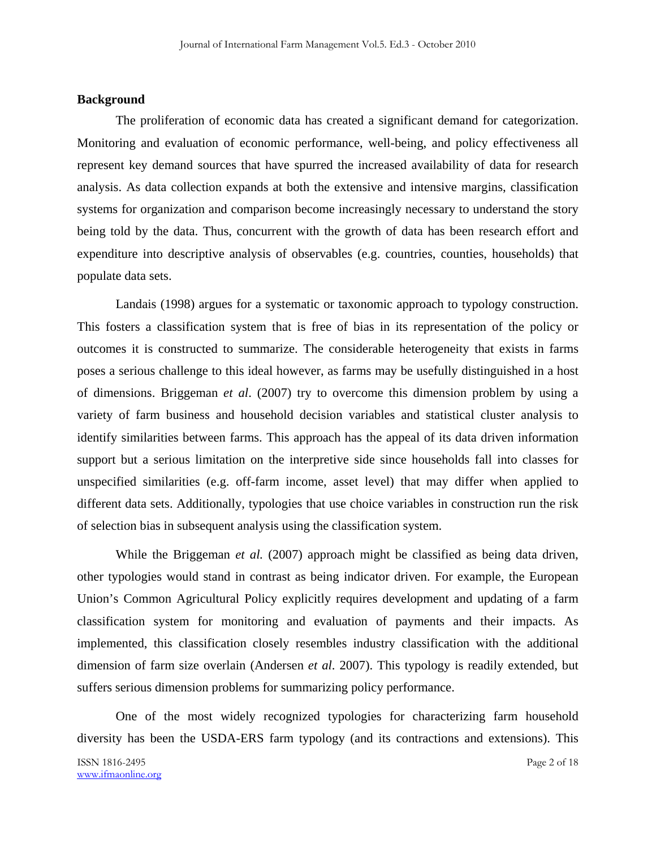#### **Background**

 The proliferation of economic data has created a significant demand for categorization. Monitoring and evaluation of economic performance, well-being, and policy effectiveness all represent key demand sources that have spurred the increased availability of data for research analysis. As data collection expands at both the extensive and intensive margins, classification systems for organization and comparison become increasingly necessary to understand the story being told by the data. Thus, concurrent with the growth of data has been research effort and expenditure into descriptive analysis of observables (e.g. countries, counties, households) that populate data sets.

 Landais (1998) argues for a systematic or taxonomic approach to typology construction. This fosters a classification system that is free of bias in its representation of the policy or outcomes it is constructed to summarize. The considerable heterogeneity that exists in farms poses a serious challenge to this ideal however, as farms may be usefully distinguished in a host of dimensions. Briggeman *et al*. (2007) try to overcome this dimension problem by using a variety of farm business and household decision variables and statistical cluster analysis to identify similarities between farms. This approach has the appeal of its data driven information support but a serious limitation on the interpretive side since households fall into classes for unspecified similarities (e.g. off-farm income, asset level) that may differ when applied to different data sets. Additionally, typologies that use choice variables in construction run the risk of selection bias in subsequent analysis using the classification system.

While the Briggeman *et al.* (2007) approach might be classified as being data driven, other typologies would stand in contrast as being indicator driven. For example, the European Union's Common Agricultural Policy explicitly requires development and updating of a farm classification system for monitoring and evaluation of payments and their impacts. As implemented, this classification closely resembles industry classification with the additional dimension of farm size overlain (Andersen *et al*. 2007). This typology is readily extended, but suffers serious dimension problems for summarizing policy performance.

 One of the most widely recognized typologies for characterizing farm household diversity has been the USDA-ERS farm typology (and its contractions and extensions). This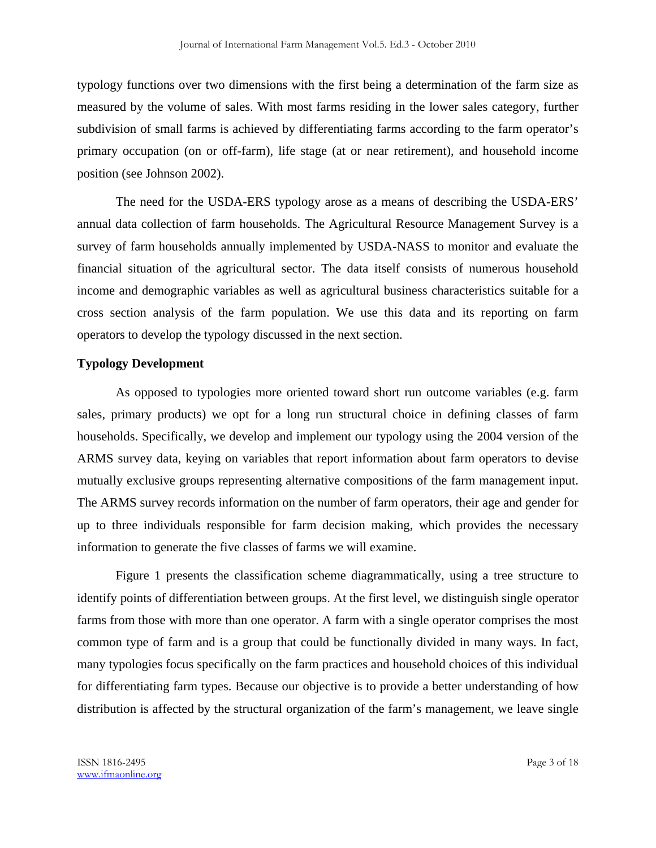typology functions over two dimensions with the first being a determination of the farm size as measured by the volume of sales. With most farms residing in the lower sales category, further subdivision of small farms is achieved by differentiating farms according to the farm operator's primary occupation (on or off-farm), life stage (at or near retirement), and household income position (see Johnson 2002).

 The need for the USDA-ERS typology arose as a means of describing the USDA-ERS' annual data collection of farm households. The Agricultural Resource Management Survey is a survey of farm households annually implemented by USDA-NASS to monitor and evaluate the financial situation of the agricultural sector. The data itself consists of numerous household income and demographic variables as well as agricultural business characteristics suitable for a cross section analysis of the farm population. We use this data and its reporting on farm operators to develop the typology discussed in the next section.

#### **Typology Development**

 As opposed to typologies more oriented toward short run outcome variables (e.g. farm sales, primary products) we opt for a long run structural choice in defining classes of farm households. Specifically, we develop and implement our typology using the 2004 version of the ARMS survey data, keying on variables that report information about farm operators to devise mutually exclusive groups representing alternative compositions of the farm management input. The ARMS survey records information on the number of farm operators, their age and gender for up to three individuals responsible for farm decision making, which provides the necessary information to generate the five classes of farms we will examine.

 Figure 1 presents the classification scheme diagrammatically, using a tree structure to identify points of differentiation between groups. At the first level, we distinguish single operator farms from those with more than one operator. A farm with a single operator comprises the most common type of farm and is a group that could be functionally divided in many ways. In fact, many typologies focus specifically on the farm practices and household choices of this individual for differentiating farm types. Because our objective is to provide a better understanding of how distribution is affected by the structural organization of the farm's management, we leave single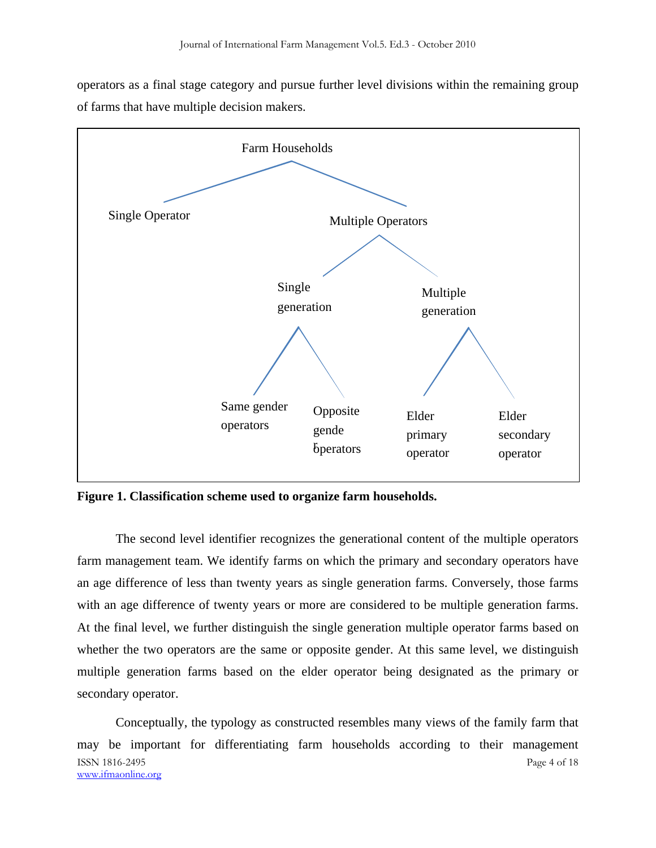operators as a final stage category and pursue further level divisions within the remaining group of farms that have multiple decision makers.



**Figure 1. Classification scheme used to organize farm households.** 

 The second level identifier recognizes the generational content of the multiple operators farm management team. We identify farms on which the primary and secondary operators have an age difference of less than twenty years as single generation farms. Conversely, those farms with an age difference of twenty years or more are considered to be multiple generation farms. At the final level, we further distinguish the single generation multiple operator farms based on whether the two operators are the same or opposite gender. At this same level, we distinguish multiple generation farms based on the elder operator being designated as the primary or secondary operator.

ISSN 1816-2495 Page 4 of 18 www.ifmaonline.org Conceptually, the typology as constructed resembles many views of the family farm that may be important for differentiating farm households according to their management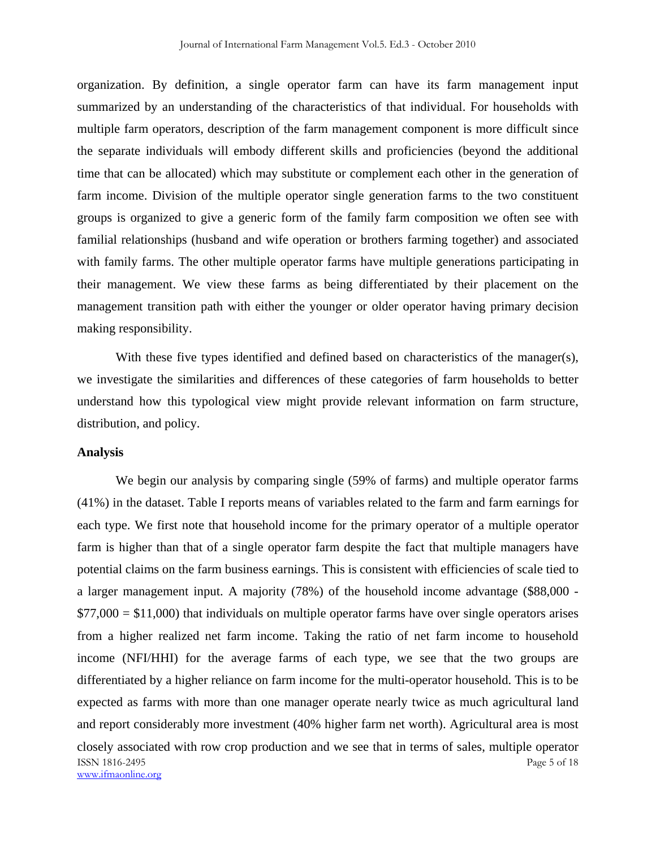organization. By definition, a single operator farm can have its farm management input summarized by an understanding of the characteristics of that individual. For households with multiple farm operators, description of the farm management component is more difficult since the separate individuals will embody different skills and proficiencies (beyond the additional time that can be allocated) which may substitute or complement each other in the generation of farm income. Division of the multiple operator single generation farms to the two constituent groups is organized to give a generic form of the family farm composition we often see with familial relationships (husband and wife operation or brothers farming together) and associated with family farms. The other multiple operator farms have multiple generations participating in their management. We view these farms as being differentiated by their placement on the management transition path with either the younger or older operator having primary decision making responsibility.

With these five types identified and defined based on characteristics of the manager(s), we investigate the similarities and differences of these categories of farm households to better understand how this typological view might provide relevant information on farm structure, distribution, and policy.

#### **Analysis**

ISSN 1816-2495 Page 5 of 18 www.ifmaonline.org We begin our analysis by comparing single (59% of farms) and multiple operator farms (41%) in the dataset. Table I reports means of variables related to the farm and farm earnings for each type. We first note that household income for the primary operator of a multiple operator farm is higher than that of a single operator farm despite the fact that multiple managers have potential claims on the farm business earnings. This is consistent with efficiencies of scale tied to a larger management input. A majority (78%) of the household income advantage (\$88,000 -  $$77,000 = $11,000$ ) that individuals on multiple operator farms have over single operators arises from a higher realized net farm income. Taking the ratio of net farm income to household income (NFI/HHI) for the average farms of each type, we see that the two groups are differentiated by a higher reliance on farm income for the multi-operator household. This is to be expected as farms with more than one manager operate nearly twice as much agricultural land and report considerably more investment (40% higher farm net worth). Agricultural area is most closely associated with row crop production and we see that in terms of sales, multiple operator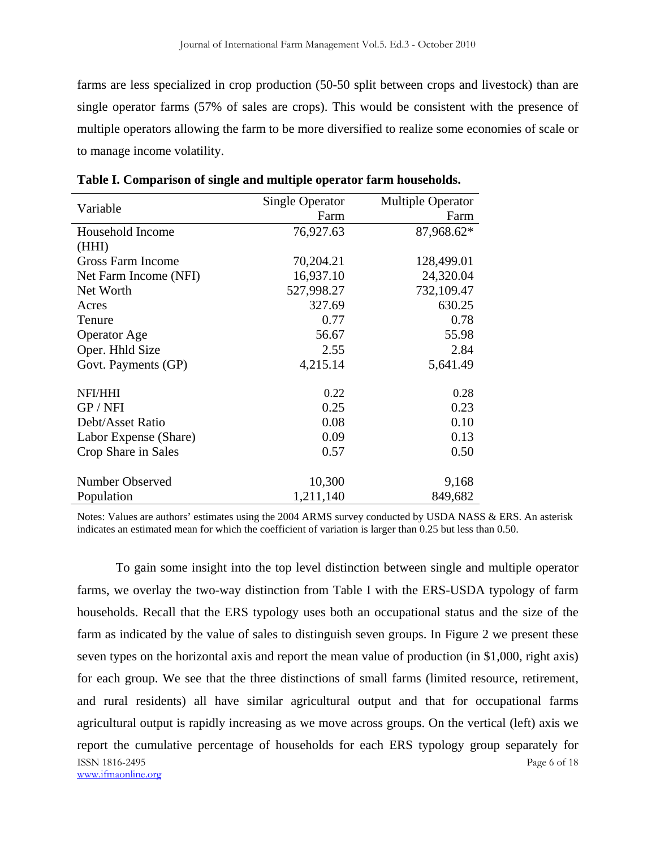farms are less specialized in crop production (50-50 split between crops and livestock) than are single operator farms (57% of sales are crops). This would be consistent with the presence of multiple operators allowing the farm to be more diversified to realize some economies of scale or to manage income volatility.

| Variable                 | <b>Single Operator</b> | <b>Multiple Operator</b> |  |
|--------------------------|------------------------|--------------------------|--|
|                          | Farm                   | Farm                     |  |
| Household Income         | 76,927.63              | 87,968.62*               |  |
| (HHI)                    |                        |                          |  |
| <b>Gross Farm Income</b> | 70,204.21              | 128,499.01               |  |
| Net Farm Income (NFI)    | 16,937.10              | 24,320.04                |  |
| Net Worth                | 527,998.27             | 732,109.47               |  |
| Acres                    | 327.69                 | 630.25                   |  |
| Tenure                   | 0.77                   | 0.78                     |  |
| <b>Operator Age</b>      | 56.67                  | 55.98                    |  |
| Oper. Hhld Size          | 2.55                   | 2.84                     |  |
| Govt. Payments (GP)      | 4,215.14               | 5,641.49                 |  |
|                          |                        |                          |  |
| NFI/HHI                  | 0.22                   | 0.28                     |  |
| GP / NFI                 | 0.25                   | 0.23                     |  |
| Debt/Asset Ratio         | 0.08                   | 0.10                     |  |
| Labor Expense (Share)    | 0.09                   | 0.13                     |  |
| Crop Share in Sales      | 0.57                   | 0.50                     |  |
|                          |                        |                          |  |
| Number Observed          | 10,300                 | 9,168                    |  |
| Population               | 1,211,140              | 849,682                  |  |

**Table I. Comparison of single and multiple operator farm households.** 

Notes: Values are authors' estimates using the 2004 ARMS survey conducted by USDA NASS & ERS. An asterisk indicates an estimated mean for which the coefficient of variation is larger than 0.25 but less than 0.50.

ISSN 1816-2495 Page 6 of 18 www.ifmaonline.org To gain some insight into the top level distinction between single and multiple operator farms, we overlay the two-way distinction from Table I with the ERS-USDA typology of farm households. Recall that the ERS typology uses both an occupational status and the size of the farm as indicated by the value of sales to distinguish seven groups. In Figure 2 we present these seven types on the horizontal axis and report the mean value of production (in \$1,000, right axis) for each group. We see that the three distinctions of small farms (limited resource, retirement, and rural residents) all have similar agricultural output and that for occupational farms agricultural output is rapidly increasing as we move across groups. On the vertical (left) axis we report the cumulative percentage of households for each ERS typology group separately for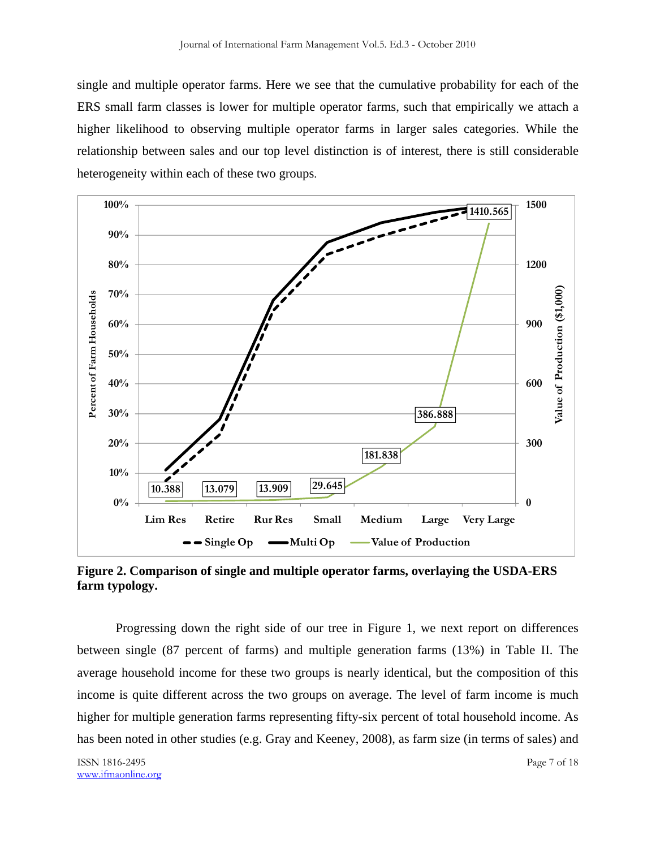single and multiple operator farms. Here we see that the cumulative probability for each of the ERS small farm classes is lower for multiple operator farms, such that empirically we attach a higher likelihood to observing multiple operator farms in larger sales categories. While the relationship between sales and our top level distinction is of interest, there is still considerable heterogeneity within each of these two groups.



**Figure 2. Comparison of single and multiple operator farms, overlaying the USDA-ERS farm typology.** 

 Progressing down the right side of our tree in Figure 1, we next report on differences between single (87 percent of farms) and multiple generation farms (13%) in Table II. The average household income for these two groups is nearly identical, but the composition of this income is quite different across the two groups on average. The level of farm income is much higher for multiple generation farms representing fifty-six percent of total household income. As has been noted in other studies (e.g. Gray and Keeney, 2008), as farm size (in terms of sales) and

ISSN 1816-2495 Page 7 of 18 www.ifmaonline.org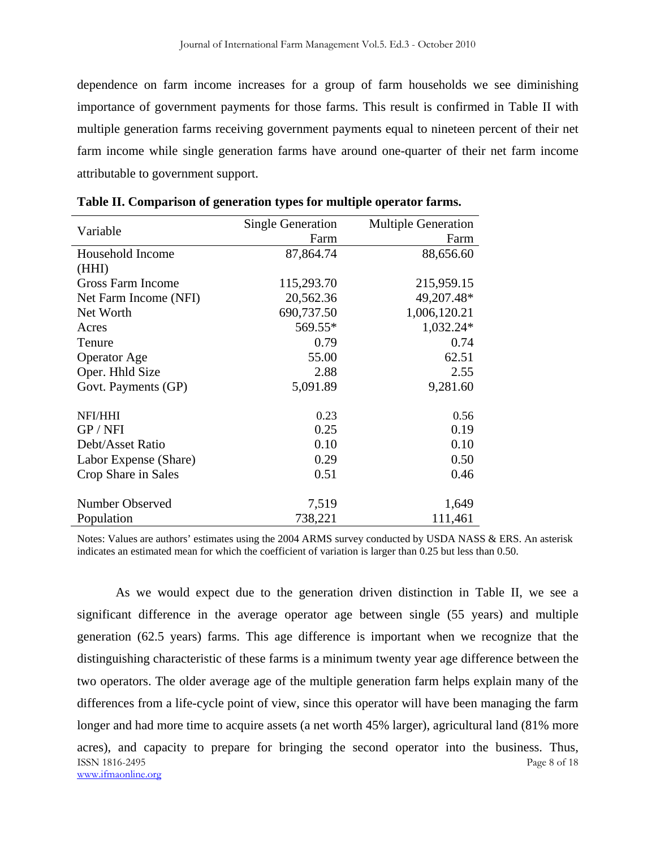dependence on farm income increases for a group of farm households we see diminishing importance of government payments for those farms. This result is confirmed in Table II with multiple generation farms receiving government payments equal to nineteen percent of their net farm income while single generation farms have around one-quarter of their net farm income attributable to government support.

| Variable                 | <b>Single Generation</b> | <b>Multiple Generation</b> |  |
|--------------------------|--------------------------|----------------------------|--|
|                          | Farm                     | Farm                       |  |
| Household Income         | 87,864.74                | 88,656.60                  |  |
| (HHI)                    |                          |                            |  |
| <b>Gross Farm Income</b> | 115,293.70               | 215,959.15                 |  |
| Net Farm Income (NFI)    | 20,562.36                | 49,207.48*                 |  |
| Net Worth                | 690,737.50               | 1,006,120.21               |  |
| Acres                    | 569.55*                  | 1,032.24*                  |  |
| Tenure                   | 0.79                     | 0.74                       |  |
| <b>Operator</b> Age      | 55.00                    | 62.51                      |  |
| Oper. Hhld Size          | 2.88                     | 2.55                       |  |
| Govt. Payments (GP)      | 5,091.89                 | 9,281.60                   |  |
|                          |                          |                            |  |
| NFI/HHI                  | 0.23                     | 0.56                       |  |
| GP / NFI                 | 0.25                     | 0.19                       |  |
| Debt/Asset Ratio         | 0.10                     | 0.10                       |  |
| Labor Expense (Share)    | 0.29                     | 0.50                       |  |
| Crop Share in Sales      | 0.51                     | 0.46                       |  |
|                          |                          |                            |  |
| Number Observed          | 7,519                    | 1,649                      |  |
| Population               | 738,221                  | 111,461                    |  |

|  |  | Table II. Comparison of generation types for multiple operator farms. |
|--|--|-----------------------------------------------------------------------|
|  |  |                                                                       |

Notes: Values are authors' estimates using the 2004 ARMS survey conducted by USDA NASS & ERS. An asterisk indicates an estimated mean for which the coefficient of variation is larger than 0.25 but less than 0.50.

ISSN 1816-2495 Page 8 of 18 www.ifmaonline.org As we would expect due to the generation driven distinction in Table II, we see a significant difference in the average operator age between single (55 years) and multiple generation (62.5 years) farms. This age difference is important when we recognize that the distinguishing characteristic of these farms is a minimum twenty year age difference between the two operators. The older average age of the multiple generation farm helps explain many of the differences from a life-cycle point of view, since this operator will have been managing the farm longer and had more time to acquire assets (a net worth 45% larger), agricultural land (81% more acres), and capacity to prepare for bringing the second operator into the business. Thus,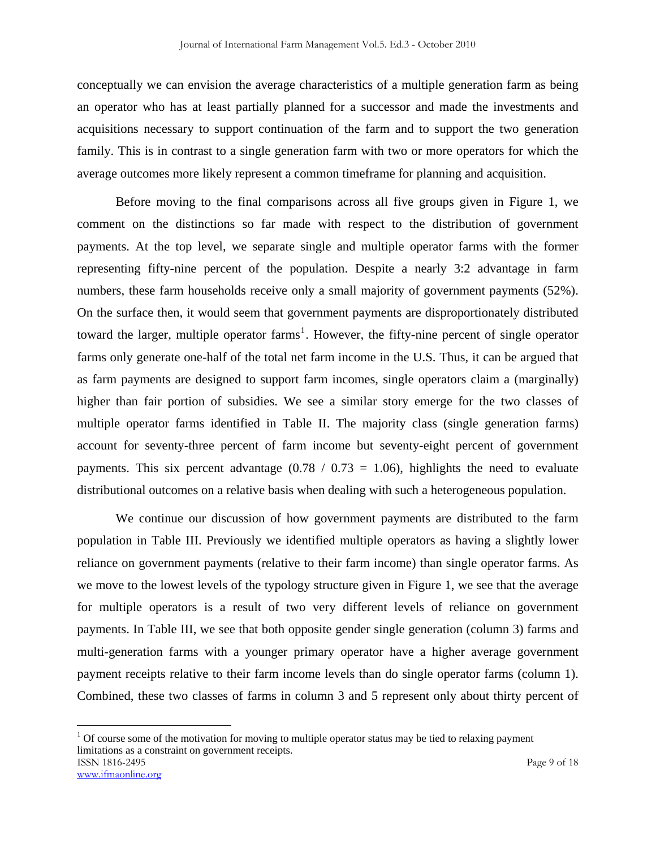conceptually we can envision the average characteristics of a multiple generation farm as being an operator who has at least partially planned for a successor and made the investments and acquisitions necessary to support continuation of the farm and to support the two generation family. This is in contrast to a single generation farm with two or more operators for which the average outcomes more likely represent a common timeframe for planning and acquisition.

 Before moving to the final comparisons across all five groups given in Figure 1, we comment on the distinctions so far made with respect to the distribution of government payments. At the top level, we separate single and multiple operator farms with the former representing fifty-nine percent of the population. Despite a nearly 3:2 advantage in farm numbers, these farm households receive only a small majority of government payments (52%). On the surface then, it would seem that government payments are disproportionately distributed toward the larger, multiple operator farms<sup>1</sup>. However, the fifty-nine percent of single operator farms only generate one-half of the total net farm income in the U.S. Thus, it can be argued that as farm payments are designed to support farm incomes, single operators claim a (marginally) higher than fair portion of subsidies. We see a similar story emerge for the two classes of multiple operator farms identified in Table II. The majority class (single generation farms) account for seventy-three percent of farm income but seventy-eight percent of government payments. This six percent advantage  $(0.78 / 0.73 = 1.06)$ , highlights the need to evaluate distributional outcomes on a relative basis when dealing with such a heterogeneous population.

 We continue our discussion of how government payments are distributed to the farm population in Table III. Previously we identified multiple operators as having a slightly lower reliance on government payments (relative to their farm income) than single operator farms. As we move to the lowest levels of the typology structure given in Figure 1, we see that the average for multiple operators is a result of two very different levels of reliance on government payments. In Table III, we see that both opposite gender single generation (column 3) farms and multi-generation farms with a younger primary operator have a higher average government payment receipts relative to their farm income levels than do single operator farms (column 1). Combined, these two classes of farms in column 3 and 5 represent only about thirty percent of

 $\overline{a}$ 

ISSN 1816-2495 Page 9 of 18 www.ifmaonline.org  $1$  Of course some of the motivation for moving to multiple operator status may be tied to relaxing payment limitations as a constraint on government receipts.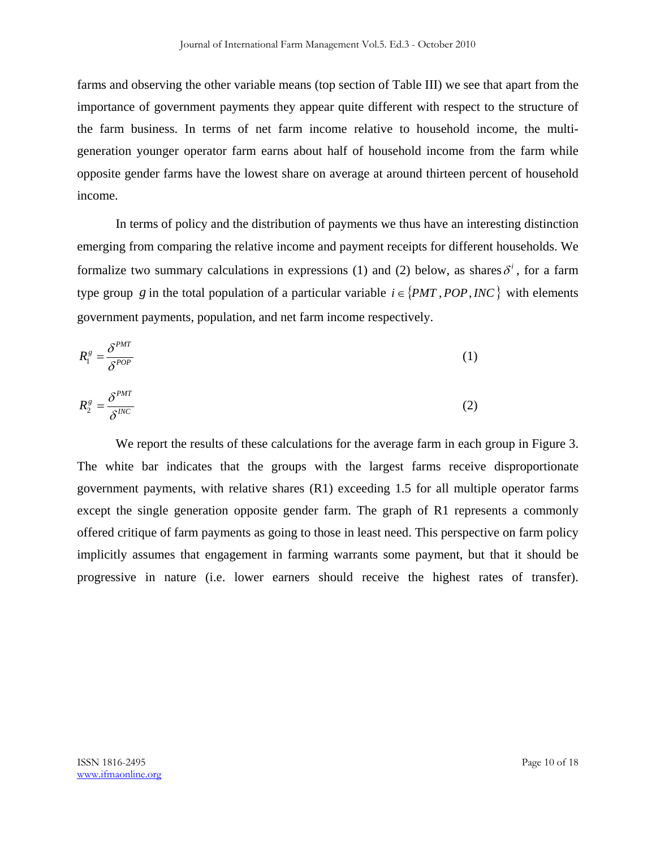farms and observing the other variable means (top section of Table III) we see that apart from the importance of government payments they appear quite different with respect to the structure of the farm business. In terms of net farm income relative to household income, the multigeneration younger operator farm earns about half of household income from the farm while opposite gender farms have the lowest share on average at around thirteen percent of household income.

In terms of policy and the distribution of payments we thus have an interesting distinction emerging from comparing the relative income and payment receipts for different households. We formalize two summary calculations in expressions (1) and (2) below, as shares  $\delta^i$ , for a farm type group g in the total population of a particular variable  $i \in \{PMT, POP, INC\}$  with elements government payments, population, and net farm income respectively.

$$
R_{1}^{g} = \frac{\delta^{PMT}}{\delta^{POP}} \tag{1}
$$

$$
R_2^g = \frac{\delta^{PMT}}{\delta^{INC}} \tag{2}
$$

We report the results of these calculations for the average farm in each group in Figure 3. The white bar indicates that the groups with the largest farms receive disproportionate government payments, with relative shares (R1) exceeding 1.5 for all multiple operator farms except the single generation opposite gender farm. The graph of R1 represents a commonly offered critique of farm payments as going to those in least need. This perspective on farm policy implicitly assumes that engagement in farming warrants some payment, but that it should be progressive in nature (i.e. lower earners should receive the highest rates of transfer).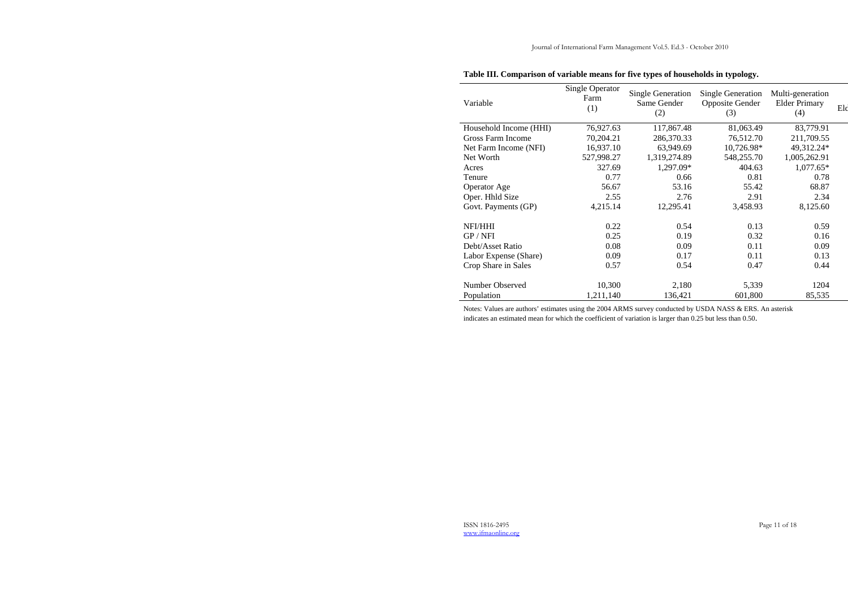ISSN 1816-2495 Page 11 of 18 www.ifmaonline.org

# **Table III. Comparison of variable means for five types of households in typology.**

| Variable                 | Single Operator<br>Farm<br>(1) | <b>Single Generation</b><br>Same Gender<br>(2) | <b>Single Generation</b><br><b>Opposite Gender</b><br>(3) | Multi-generation<br><b>Elder Primary</b><br>(4) | Eld |
|--------------------------|--------------------------------|------------------------------------------------|-----------------------------------------------------------|-------------------------------------------------|-----|
| Household Income (HHI)   | 76,927.63                      | 117,867.48                                     | 81,063.49                                                 | 83,779.91                                       |     |
| <b>Gross Farm Income</b> | 70,204.21                      | 286,370.33                                     | 76,512.70                                                 | 211,709.55                                      |     |
| Net Farm Income (NFI)    | 16,937.10                      | 63,949.69                                      | 10,726.98*                                                | 49,312.24*                                      |     |
| Net Worth                | 527,998.27                     | 1,319,274.89                                   | 548,255.70                                                | 1,005,262.91                                    |     |
| Acres                    | 327.69                         | 1,297.09*                                      | 404.63                                                    | $1,077.65*$                                     |     |
| Tenure                   | 0.77                           | 0.66                                           | 0.81                                                      | 0.78                                            |     |
| <b>Operator Age</b>      | 56.67                          | 53.16                                          | 55.42                                                     | 68.87                                           |     |
| Oper. Hhld Size          | 2.55                           | 2.76                                           | 2.91                                                      | 2.34                                            |     |
| Govt. Payments (GP)      | 4,215.14                       | 12,295.41                                      | 3,458.93                                                  | 8,125.60                                        |     |
| NFI/HHI                  | 0.22                           | 0.54                                           | 0.13                                                      | 0.59                                            |     |
| GP / NFI                 | 0.25                           | 0.19                                           | 0.32                                                      | 0.16                                            |     |
| Debt/Asset Ratio         | 0.08                           | 0.09                                           | 0.11                                                      | 0.09                                            |     |
| Labor Expense (Share)    | 0.09                           | 0.17                                           | 0.11                                                      | 0.13                                            |     |
| Crop Share in Sales      | 0.57                           | 0.54                                           | 0.47                                                      | 0.44                                            |     |
| Number Observed          | 10,300                         | 2,180                                          | 5,339                                                     | 1204                                            |     |
| Population               | 1,211,140                      | 136,421                                        | 601,800                                                   | 85,535                                          |     |
|                          |                                |                                                |                                                           |                                                 |     |

Notes: Values are authors' estimates using the 2004 ARMS survey conducted by USDA NASS & ERS. An asterisk indicates an estimated mean for which the coefficient of variation is larger than 0.25 but less than 0.50.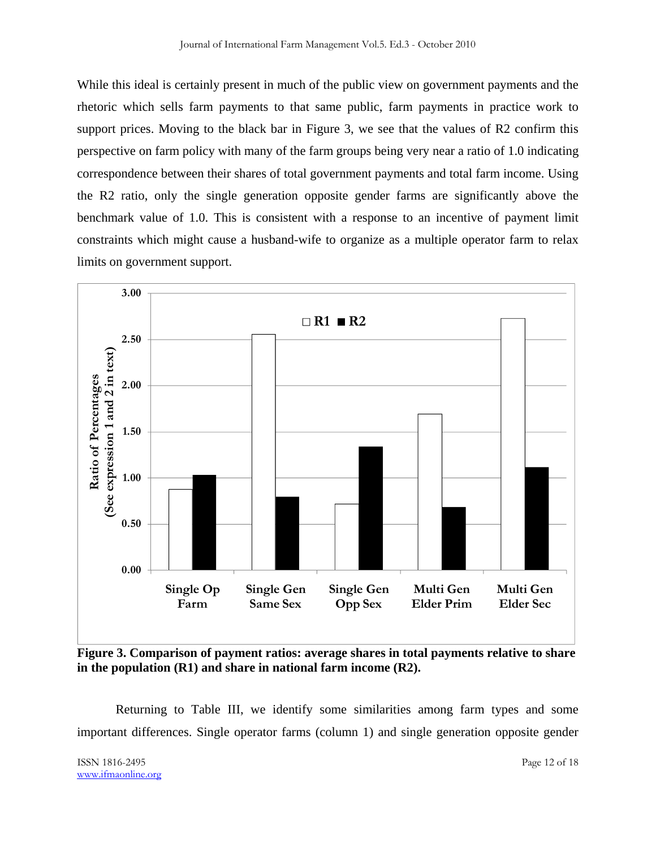While this ideal is certainly present in much of the public view on government payments and the rhetoric which sells farm payments to that same public, farm payments in practice work to support prices. Moving to the black bar in Figure 3, we see that the values of R2 confirm this perspective on farm policy with many of the farm groups being very near a ratio of 1.0 indicating correspondence between their shares of total government payments and total farm income. Using the R2 ratio, only the single generation opposite gender farms are significantly above the benchmark value of 1.0. This is consistent with a response to an incentive of payment limit constraints which might cause a husband-wife to organize as a multiple operator farm to relax limits on government support.



**Figure 3. Comparison of payment ratios: average shares in total payments relative to share in the population (R1) and share in national farm income (R2).** 

 Returning to Table III, we identify some similarities among farm types and some important differences. Single operator farms (column 1) and single generation opposite gender

ISSN 1816-2495 Page 12 of 18 www.ifmaonline.org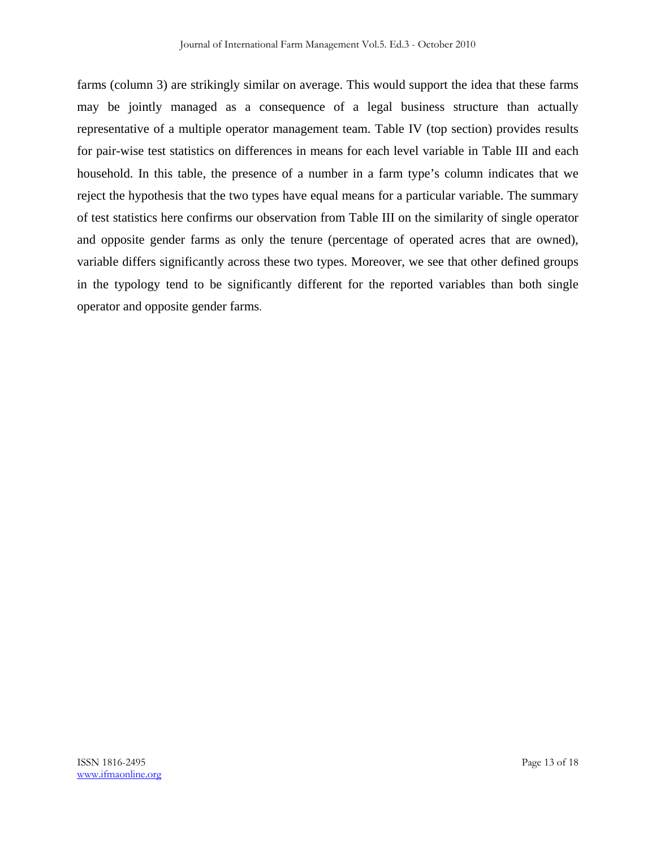farms (column 3) are strikingly similar on average. This would support the idea that these farms may be jointly managed as a consequence of a legal business structure than actually representative of a multiple operator management team. Table IV (top section) provides results for pair-wise test statistics on differences in means for each level variable in Table III and each household. In this table, the presence of a number in a farm type's column indicates that we reject the hypothesis that the two types have equal means for a particular variable. The summary of test statistics here confirms our observation from Table III on the similarity of single operator and opposite gender farms as only the tenure (percentage of operated acres that are owned), variable differs significantly across these two types. Moreover, we see that other defined groups in the typology tend to be significantly different for the reported variables than both single operator and opposite gender farms.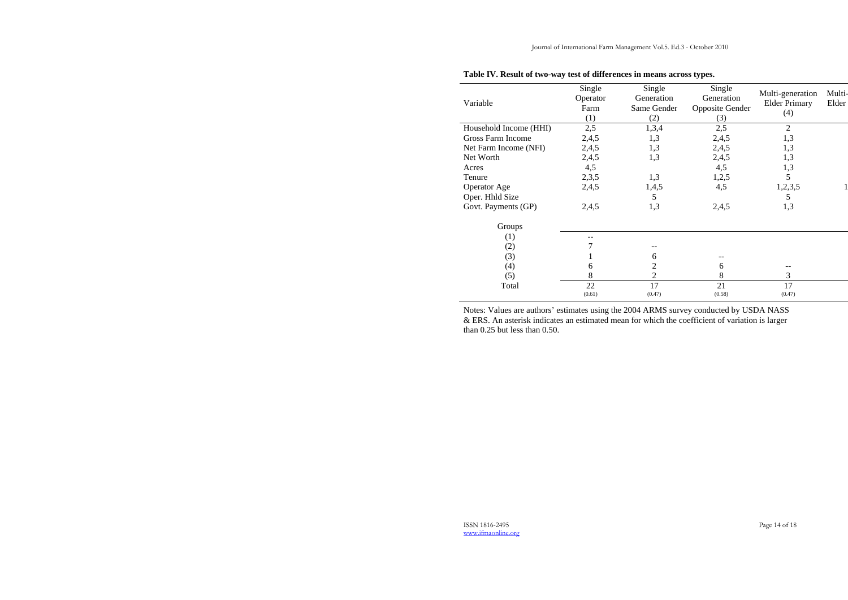ISSN 1816-2495 Page 14 of 18 www.ifmaonline.org

## **Table IV. Result of two-way test of differences in means across types.**

| Variable               | Single<br>Operator<br>Farm<br>(1) | Single<br>Generation<br>Same Gender<br>(2) | Single<br>Generation<br><b>Opposite Gender</b><br>(3) | Multi-generation<br><b>Elder Primary</b><br>(4) | Multi-<br>Elder |
|------------------------|-----------------------------------|--------------------------------------------|-------------------------------------------------------|-------------------------------------------------|-----------------|
| Household Income (HHI) | 2,5                               | 1,3,4                                      | 2,5                                                   | 2                                               |                 |
| Gross Farm Income      | 2,4,5                             | 1,3                                        | 2,4,5                                                 | 1,3                                             |                 |
| Net Farm Income (NFI)  | 2,4,5                             | 1,3                                        | 2,4,5                                                 | 1,3                                             |                 |
| Net Worth              | 2,4,5                             | 1,3                                        | 2,4,5                                                 | 1,3                                             |                 |
| Acres                  | 4,5                               |                                            | 4,5                                                   | 1,3                                             |                 |
| Tenure                 | 2,3,5                             | 1,3                                        | 1,2,5                                                 | 5                                               |                 |
| <b>Operator Age</b>    | 2,4,5                             | 1,4,5                                      | 4,5                                                   | 1,2,3,5                                         |                 |
| Oper. Hhld Size        |                                   | 5                                          |                                                       | 5                                               |                 |
| Govt. Payments (GP)    | 2,4,5                             | 1,3                                        | 2,4,5                                                 | 1,3                                             |                 |
| Groups                 |                                   |                                            |                                                       |                                                 |                 |
| (1)                    |                                   |                                            |                                                       |                                                 |                 |
| (2)                    |                                   |                                            |                                                       |                                                 |                 |
| (3)                    |                                   | 6                                          |                                                       |                                                 |                 |
| (4)                    | 6                                 |                                            | 6                                                     |                                                 |                 |
| (5)                    | 8                                 | 2                                          | 8                                                     | 3                                               |                 |
| Total                  | 22                                | 17                                         | 21                                                    | 17                                              |                 |
|                        | (0.61)                            | (0.47)                                     | (0.58)                                                | (0.47)                                          |                 |

Notes: Values are authors' estimates using the 2004 ARMS survey conducted by USDA NASS & ERS. An asterisk indicates an estimated mean for which the coefficient of variation is larger than 0.25 but less than 0.50.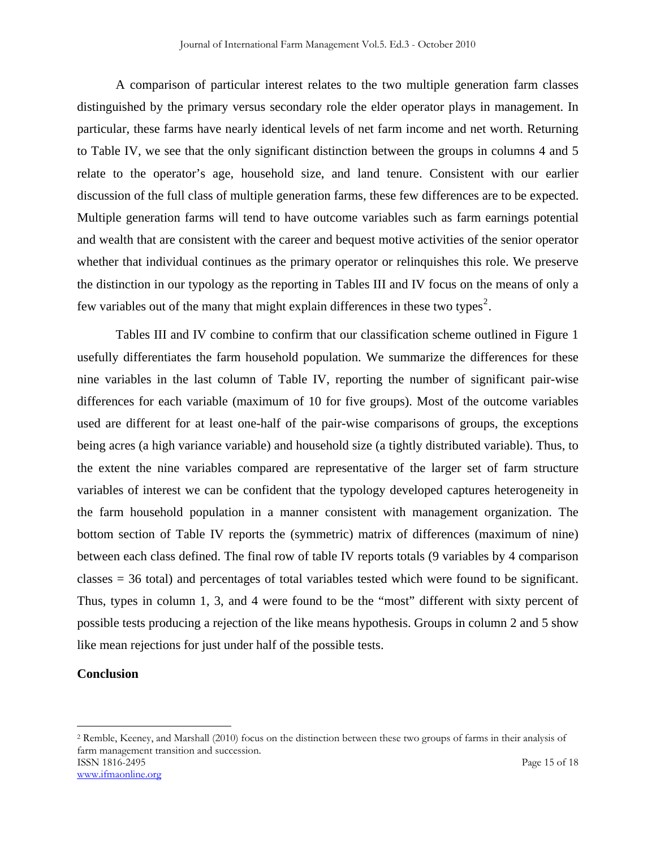A comparison of particular interest relates to the two multiple generation farm classes distinguished by the primary versus secondary role the elder operator plays in management. In particular, these farms have nearly identical levels of net farm income and net worth. Returning to Table IV, we see that the only significant distinction between the groups in columns 4 and 5 relate to the operator's age, household size, and land tenure. Consistent with our earlier discussion of the full class of multiple generation farms, these few differences are to be expected. Multiple generation farms will tend to have outcome variables such as farm earnings potential and wealth that are consistent with the career and bequest motive activities of the senior operator whether that individual continues as the primary operator or relinquishes this role. We preserve the distinction in our typology as the reporting in Tables III and IV focus on the means of only a few variables out of the many that might explain differences in these two types<sup>2</sup>.

 Tables III and IV combine to confirm that our classification scheme outlined in Figure 1 usefully differentiates the farm household population. We summarize the differences for these nine variables in the last column of Table IV, reporting the number of significant pair-wise differences for each variable (maximum of 10 for five groups). Most of the outcome variables used are different for at least one-half of the pair-wise comparisons of groups, the exceptions being acres (a high variance variable) and household size (a tightly distributed variable). Thus, to the extent the nine variables compared are representative of the larger set of farm structure variables of interest we can be confident that the typology developed captures heterogeneity in the farm household population in a manner consistent with management organization. The bottom section of Table IV reports the (symmetric) matrix of differences (maximum of nine) between each class defined. The final row of table IV reports totals (9 variables by 4 comparison classes = 36 total) and percentages of total variables tested which were found to be significant. Thus, types in column 1, 3, and 4 were found to be the "most" different with sixty percent of possible tests producing a rejection of the like means hypothesis. Groups in column 2 and 5 show like mean rejections for just under half of the possible tests.

## **Conclusion**

 $\overline{a}$ 

ISSN 1816-2495 Page 15 of 18 www.ifmaonline.org 2 Remble, Keeney, and Marshall (2010) focus on the distinction between these two groups of farms in their analysis of farm management transition and succession.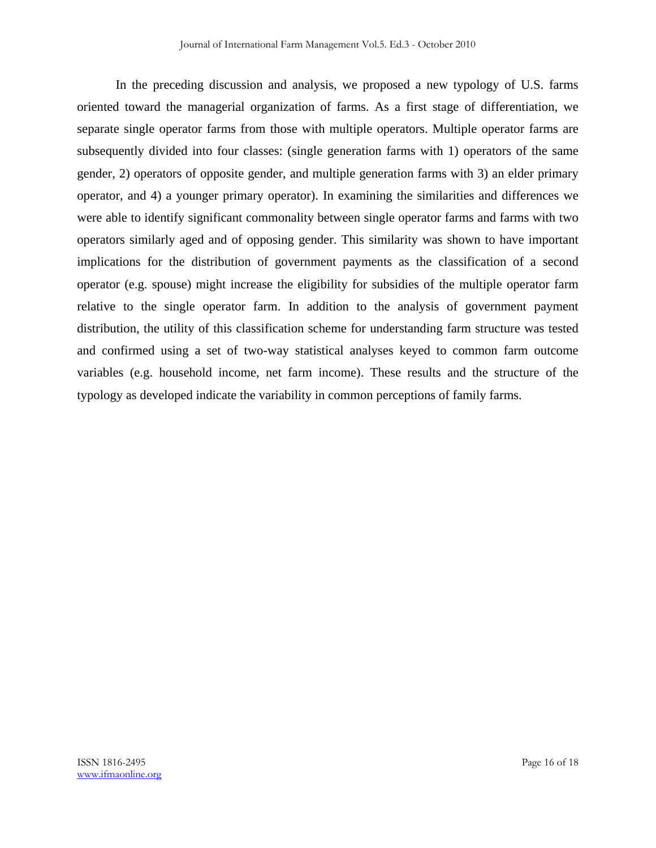In the preceding discussion and analysis, we proposed a new typology of U.S. farms oriented toward the managerial organization of farms. As a first stage of differentiation, we separate single operator farms from those with multiple operators. Multiple operator farms are subsequently divided into four classes: (single generation farms with 1) operators of the same gender, 2) operators of opposite gender, and multiple generation farms with 3) an elder primary operator, and 4) a younger primary operator). In examining the similarities and differences we were able to identify significant commonality between single operator farms and farms with two operators similarly aged and of opposing gender. This similarity was shown to have important implications for the distribution of government payments as the classification of a second operator (e.g. spouse) might increase the eligibility for subsidies of the multiple operator farm relative to the single operator farm. In addition to the analysis of government payment distribution, the utility of this classification scheme for understanding farm structure was tested and confirmed using a set of two-way statistical analyses keyed to common farm outcome variables (e.g. household income, net farm income). These results and the structure of the typology as developed indicate the variability in common perceptions of family farms.